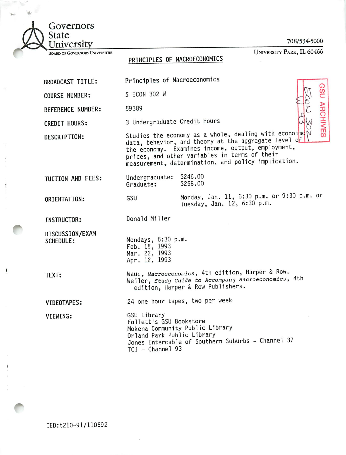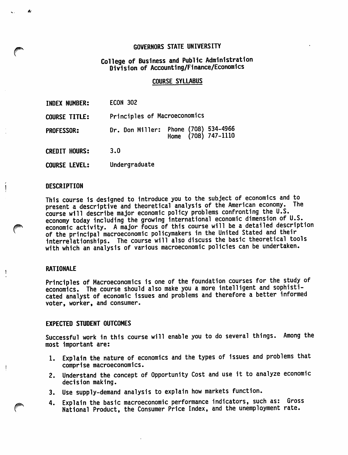## GOVERNORS STATE UNIVERSITY

# College of Business and Public Administration Division of Accounting/Finance/Economics

#### COURSE SYLLABUS

INDEX NUMBER: ECON 302

COURSE TITLE: Principles of Macroeconomics

PROFESSOR: Dr. Don Miller: Phone (708) 534-4966 Home (708) 747-1110

CREDIT HOURS; 3.0

COURSE LEVEL; Undergraduate

### **DESCRIPTION**

 $\mathbf{I}$ 

This course is designed to introduce you to the subject of economics and to present a descriptive and theoretical analysis of the American economy. The course will describe major economic policy problems confronting the U.S. economy today Including the growing international economic dimension of U.S. economic activity. A major focus of this course will be a detailed description of the principal macroeconomic policymakers in the United Stated and their interrelationships. The course will also discuss the basic theoretical tools with which an analysis of various macroeconomic policies can be undertaken.

## RATIONAL F

Principles of Macroeconomics 1s one of the foundation courses for the study of economics. The course should also make you a more intelligent and sophisti cated analyst of economic issues and problems and therefore a better informed voter, worker, and consumer.

#### EXPECTED STUDENT OUTCOMES

Successful work in this course will enable you to do several things. Among the most Important are:

- 1. Explain the nature of economics and the types of issues and problems that comprise macroeconomics.
- 2. Understand the concept of Opportunity Cost and use it to analyze economic decision making.
- 3. Use supply-demand analysis to explain how markets function.
- 4. Explain the basic macroeconomic performance indicators, such as: Gross National Product, the Consumer Price Index, and the unemployment rate.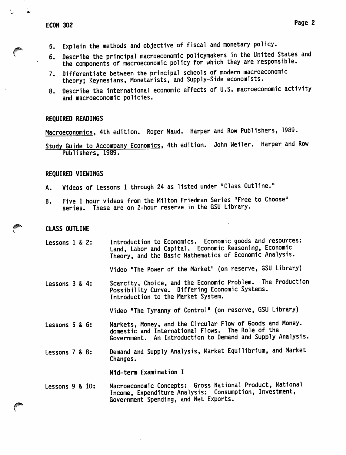- 5. Explain the methods and objective of fiscal and monetary policy.
- 6. Describe the principal macroeconomic policymakers in the United States and the components of macroeconomic policy for which they are responsible.
- 7. Differentiate between the principal schools of modern macroeconomic theory; Keynesians, Monetarists, and Supply-Side economists.
- 8. Describe the international economic effects of U.S. macroeconomic activity and macroeconomic policies.

#### REQUIRED READINGS

Macroeconomics, 4th edition. Roger Waud. Harper and Row Publishers, 1989.

Study Guide to Accompany Economics, 4th edition. John Weiler. Harper and Row Publishers, 1989.

## REQUIRED VIEWINGS

- A. Videos of Lessons 1 through 24 as listed under "Class Outline."
- B. Five 1 hour videos from the Milton Friedman Series "Free to Choose" series. These are on 2-hour reserve in the GSU Library.

#### CLASS OUTLINE

Lessons 1 & 2: Introduction to Economics. Economic goods and resources: Land, Labor and Capital. Economic Reasoning, Economic Theory, and the Basic Mathematics of Economic Analysis.

Video "The Power of the Market" (on reserve, GSU Library)

Lessons 3 & 4: Scarcity, Choice, and the Economic Problem. The Production Possibility Curve. Differing Economic Systems. Introduction to the Market System.

Video "The Tyranny of Control" (on reserve, GSU Library)

- Lessons 5 & 6: Markets, Money, and the Circular Flow of Goods and Money, domestic and International Flows. The Role of the Government. An Introduction to Demand and Supply Analysis.
- Lessons 7 & 8: Demand and Supply Analysis, Market Equilibrium, and Market Changes.

Mid-term Examination I

#### Lessons 9 & 10: Macroeconomic Concepts: Gross National Product, National Income, Expenditure Analysis: Consumption, Investment, Government Spending, and Net Exports.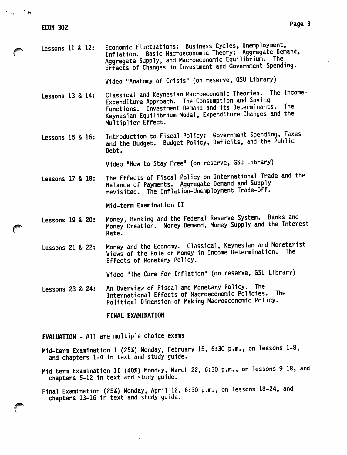| Lessons 11 & 12:      |  | Economic Fluctuations: Business Cycles, Unemployment,<br>Inflation. Basic Macroeconomic Theory: Aggregate Demand,<br>Aggregate Supply, and Macroeconomic Equilibrium. The<br>Effects of Changes in Investment and Government Spending.                      |
|-----------------------|--|-------------------------------------------------------------------------------------------------------------------------------------------------------------------------------------------------------------------------------------------------------------|
|                       |  | Video "Anatomy of Crisis" (on reserve, GSU Library)                                                                                                                                                                                                         |
| Lessons 13 & 14:      |  | Classical and Keynesian Macroeconomic Theories. The Income-<br>Expenditure Approach. The Consumption and Saving<br>Functions. Investment Demand and its Determinants. The<br>Keynesian Equilibrium Model, Expenditure Changes and the<br>Multiplier Effect. |
| Lessons $15$ & $16$ : |  | Introduction to Fiscal Policy: Government Spending, Taxes<br>and the Budget. Budget Policy, Deficits, and the Public<br>Debt.                                                                                                                               |
|                       |  | Video "How to Stay Free" (on reserve, GSU Library)                                                                                                                                                                                                          |
| Lessons 17 & 18:      |  | The Effects of Fiscal Policy on International Trade and the<br>Balance of Payments. Aggregate Demand and Supply<br>revisited. The Inflation-Unemployment Trade-Off.                                                                                         |
|                       |  | Mid-term Examination II                                                                                                                                                                                                                                     |
| Lessons 19 & 20:      |  | Money, Banking and the Federal Reserve System. Banks and<br>Money Creation. Money Demand, Money Supply and the Interest<br>Rate.                                                                                                                            |

Lessons 21 & 22: Money and the Economy. Classical, Keynesian and Monetarist Views of the Role of Money in Income Determination. The Effects of Monetary Policy.

Video "The Cure for Inflation" (on reserve, GSU Library)

Lessons 23 & 24: An Overview of Fiscal and Monetary Policy. The International Effects of Macroeconomic Policies. The Political Dimension of Making Macroeconomic Policy.

FINAL EXAMINATION

EVALUATION - All are multiple choice exams

- Mid-term Examination I (25%) Monday, February 15, 6:30 p.m., on lessons 1-8, and chapters 1-4 in text and study guide.
- Mid-term Examination II (40%) Monday, March 22, 6:30 p.m., on lessons 9-18, and chapters 5-12 in text and study guide.
- Final Examination (25%) Monday, April 12, 6:30 p.m., on lessons 18-24, and chapters 13-16 in text and study guide.